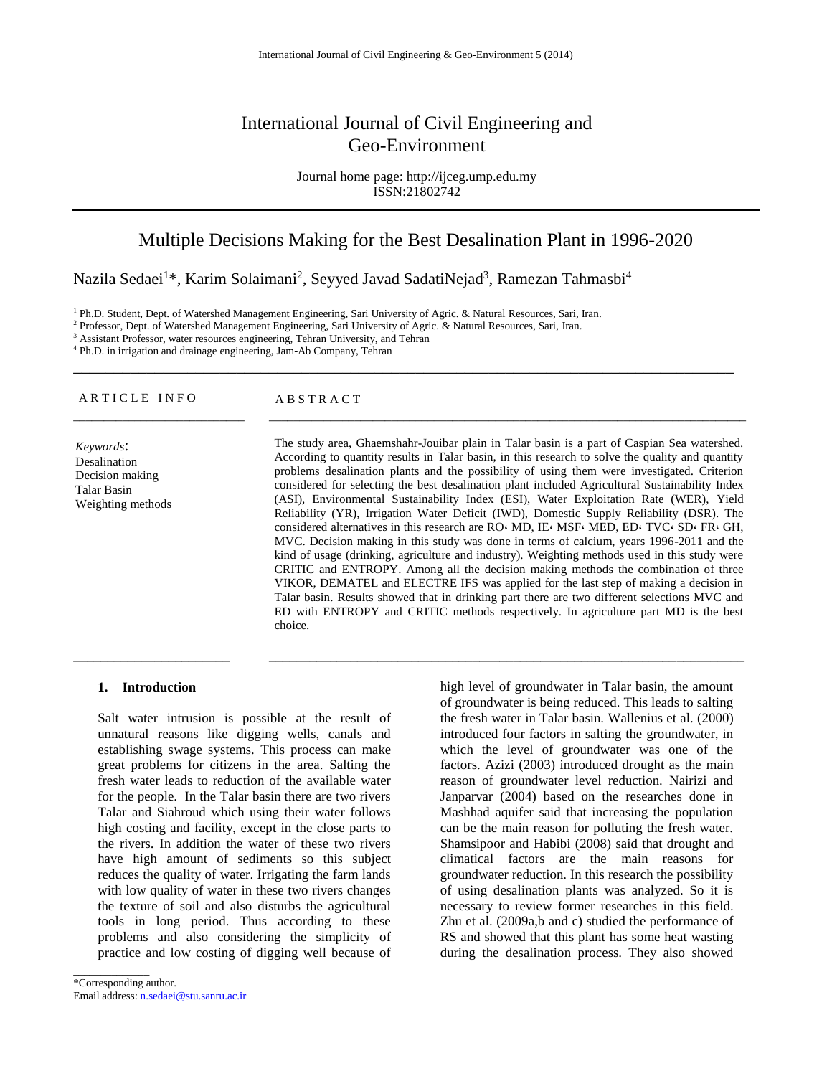# International Journal of Civil Engineering and Geo-Environment

Journal home page: http://ijceg.ump.edu.my ISSN:21802742

## Multiple Decisions Making for the Best Desalination Plant in 1996-2020

\_\_\_\_\_\_\_\_\_\_\_\_\_\_\_\_\_\_\_\_\_\_\_\_\_\_\_\_\_\_\_\_\_\_\_\_\_\_\_\_\_\_\_\_\_\_\_\_\_\_\_\_\_\_\_\_\_\_\_\_\_\_\_\_\_\_\_\_\_\_\_\_\_\_\_\_\_\_\_\_\_

\_\_\_\_\_\_\_\_\_\_\_\_\_\_\_\_\_\_\_\_\_\_\_\_\_\_\_\_ \_\_\_\_\_\_\_\_\_\_\_\_\_\_\_\_\_\_\_\_\_\_\_\_\_\_\_\_\_\_\_\_\_\_\_\_\_\_\_\_\_\_\_\_\_\_\_\_\_\_\_\_\_\_\_\_\_\_\_\_\_\_\_\_\_\_\_\_\_\_\_\_\_\_\_\_\_\_

 $\_$  ,  $\_$  ,  $\_$  ,  $\_$  ,  $\_$  ,  $\_$  ,  $\_$  ,  $\_$  ,  $\_$  ,  $\_$  ,  $\_$  ,  $\_$  ,  $\_$  ,  $\_$  ,  $\_$  ,  $\_$  ,  $\_$  ,  $\_$  ,  $\_$  ,  $\_$  ,  $\_$  ,  $\_$  ,  $\_$  ,  $\_$  ,  $\_$  ,  $\_$  ,  $\_$  ,  $\_$  ,  $\_$  ,  $\_$  ,  $\_$  ,  $\_$  ,  $\_$  ,  $\_$  ,  $\_$  ,  $\_$  ,  $\_$  ,

Nazila Sedaei<sup>1</sup>\*, Karim Solaimani<sup>2</sup>, Seyyed Javad SadatiNejad<sup>3</sup>, Ramezan Tahmasbi<sup>4</sup>

<sup>1</sup> Ph.D. Student, Dept. of Watershed Management Engineering, Sari University of Agric. & Natural Resources, Sari, Iran.

<sup>2</sup> Professor, Dept. of Watershed Management Engineering, Sari University of Agric. & Natural Resources, Sari, Iran.

<sup>3</sup> Assistant Professor, water resources engineering, Tehran University, and Tehran

<sup>4</sup> Ph.D. in irrigation and drainage engineering, Jam-Ab Company, Tehran

#### ARTICLE INFO ABSTRACT

*Keywords*: Desalination Decision making Talar Basin Weighting methods The study area, Ghaemshahr-Jouibar plain in Talar basin is a part of Caspian Sea watershed. According to quantity results in Talar basin, in this research to solve the quality and quantity problems desalination plants and the possibility of using them were investigated. Criterion considered for selecting the best desalination plant included Agricultural Sustainability Index (ASI), Environmental Sustainability Index (ESI), Water Exploitation Rate (WER), Yield Reliability (YR), Irrigation Water Deficit (IWD), Domestic Supply Reliability (DSR). The considered alternatives in this research are RO $\cdot$  MD, IE $\cdot$  MSF $\cdot$  MED, ED $\cdot$  TVC $\cdot$  SD $\cdot$  FR $\cdot$  GH, MVC. Decision making in this study was done in terms of calcium, years 1996-2011 and the kind of usage (drinking, agriculture and industry). Weighting methods used in this study were CRITIC and ENTROPY. Among all the decision making methods the combination of three VIKOR, DEMATEL and ELECTRE IFS was applied for the last step of making a decision in Talar basin. Results showed that in drinking part there are two different selections MVC and ED with ENTROPY and CRITIC methods respectively. In agriculture part MD is the best choice.

#### **1. Introduction**

Salt water intrusion is possible at the result of unnatural reasons like digging wells, canals and establishing swage systems. This process can make great problems for citizens in the area. Salting the fresh water leads to reduction of the available water for the people. In the Talar basin there are two rivers Talar and Siahroud which using their water follows high costing and facility, except in the close parts to the rivers. In addition the water of these two rivers have high amount of sediments so this subject reduces the quality of water. Irrigating the farm lands with low quality of water in these two rivers changes the texture of soil and also disturbs the agricultural tools in long period. Thus according to these problems and also considering the simplicity of practice and low costing of digging well because of

\_\_\_\_\_\_\_\_\_\_\_\_\_\_

high level of groundwater in Talar basin, the amount of groundwater is being reduced. This leads to salting the fresh water in Talar basin. Wallenius et al. (2000) introduced four factors in salting the groundwater, in which the level of groundwater was one of the factors. Azizi (2003) introduced drought as the main reason of groundwater level reduction. Nairizi and Janparvar (2004) based on the researches done in Mashhad aquifer said that increasing the population can be the main reason for polluting the fresh water. Shamsipoor and Habibi (2008) said that drought and climatical factors are the main reasons for groundwater reduction. In this research the possibility of using desalination plants was analyzed. So it is necessary to review former researches in this field. Zhu et al. (2009a,b and c) studied the performance of RS and showed that this plant has some heat wasting during the desalination process. They also showed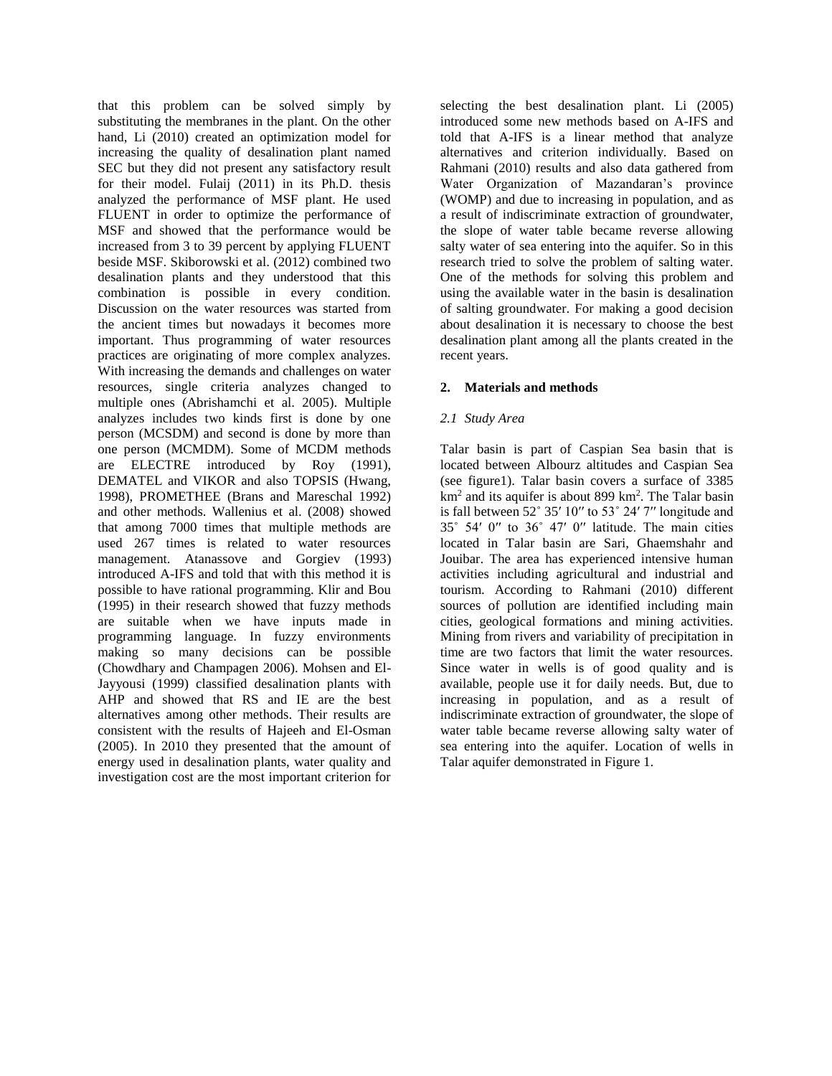that this problem can be solved simply by substituting the membranes in the plant. On the other hand, Li (2010) created an optimization model for increasing the quality of desalination plant named SEC but they did not present any satisfactory result for their model. Fulaij (2011) in its Ph.D. thesis analyzed the performance of MSF plant. He used FLUENT in order to optimize the performance of MSF and showed that the performance would be increased from 3 to 39 percent by applying FLUENT beside MSF. Skiborowski et al. (2012) combined two desalination plants and they understood that this combination is possible in every condition. Discussion on the water resources was started from the ancient times but nowadays it becomes more important. Thus programming of water resources practices are originating of more complex analyzes. With increasing the demands and challenges on water resources, single criteria analyzes changed to multiple ones (Abrishamchi et al. 2005). Multiple analyzes includes two kinds first is done by one person (MCSDM) and second is done by more than one person (MCMDM). Some of MCDM methods are ELECTRE introduced by Roy (1991), DEMATEL and VIKOR and also TOPSIS (Hwang, 1998), PROMETHEE (Brans and Mareschal 1992) and other methods. Wallenius et al. (2008) showed that among 7000 times that multiple methods are used 267 times is related to water resources management. Atanassove and Gorgiev (1993) introduced A-IFS and told that with this method it is possible to have rational programming. Klir and Bou (1995) in their research showed that fuzzy methods are suitable when we have inputs made in programming language. In fuzzy environments making so many decisions can be possible (Chowdhary and Champagen 2006). Mohsen and El-Jayyousi (1999) classified desalination plants with AHP and showed that RS and IE are the best alternatives among other methods. Their results are consistent with the results of Hajeeh and El-Osman (2005). In 2010 they presented that the amount of energy used in desalination plants, water quality and investigation cost are the most important criterion for

selecting the best desalination plant. Li (2005) introduced some new methods based on A-IFS and told that A-IFS is a linear method that analyze alternatives and criterion individually. Based on Rahmani (2010) results and also data gathered from Water Organization of Mazandaran's province (WOMP) and due to increasing in population, and as a result of indiscriminate extraction of groundwater, the slope of water table became reverse allowing salty water of sea entering into the aquifer. So in this research tried to solve the problem of salting water. One of the methods for solving this problem and using the available water in the basin is desalination of salting groundwater. For making a good decision about desalination it is necessary to choose the best desalination plant among all the plants created in the recent years.

### **2. Materials and methods**

## *2.1 Study Area*

Talar basin is part of Caspian Sea basin that is located between Albourz altitudes and Caspian Sea (see figure1). Talar basin covers a surface of 3385 km<sup>2</sup> and its aquifer is about 899 km<sup>2</sup>. The Talar basin is fall between 52˚ 35′ 10′′ to 53˚ 24′ 7′′ longitude and 35˚ 54′ 0′′ to 36˚ 47′ 0′′ latitude. The main cities located in Talar basin are Sari, Ghaemshahr and Jouibar. The area has experienced intensive human activities including agricultural and industrial and tourism. According to Rahmani (2010) different sources of pollution are identified including main cities, geological formations and mining activities. Mining from rivers and variability of precipitation in time are two factors that limit the water resources. Since water in wells is of good quality and is available, people use it for daily needs. But, due to increasing in population, and as a result of indiscriminate extraction of groundwater, the slope of water table became reverse allowing salty water of sea entering into the aquifer. Location of wells in Talar aquifer demonstrated in Figure 1.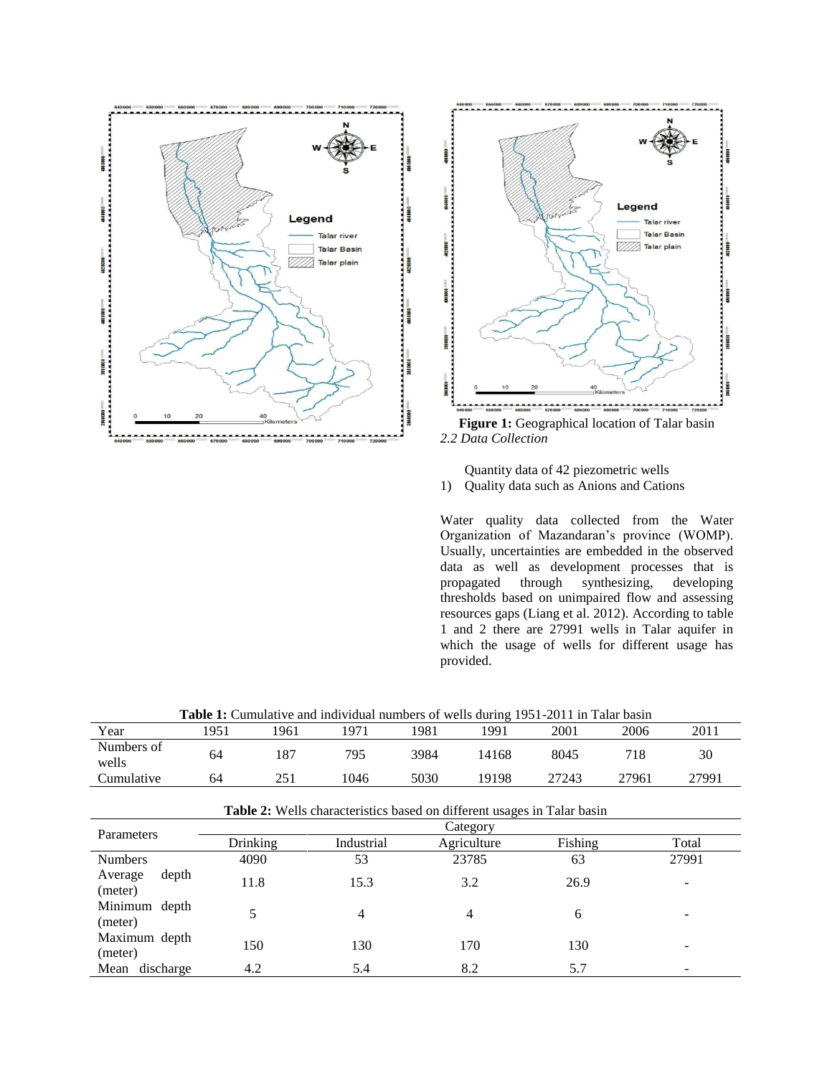



*2.2 Data Collection*



1) Quality data such as Anions and Cations

Water quality data collected from the Water Organization of Mazandaran's province (WOMP). Usually, uncertainties are embedded in the observed data as well as development processes that is<br>propagated through synthesizing, developing through synthesizing, developing thresholds based on unimpaired flow and assessing resources gaps (Liang et al. 2012). According to table 1 and 2 there are 27991 wells in Talar aquifer in which the usage of wells for different usage has provided.

| Year                        | 1951 | 1961       | 1971                                                                           | 1981        | 1991    | 2001  | 2006  | 2011  |
|-----------------------------|------|------------|--------------------------------------------------------------------------------|-------------|---------|-------|-------|-------|
| Numbers of                  | 64   | 187        | 795                                                                            | 3984        | 14168   | 8045  | 718   | 30    |
| wells                       |      |            |                                                                                |             |         |       |       |       |
| Cumulative                  | 64   | 251        | 1046                                                                           | 5030        | 19198   | 27243 | 27961 | 27991 |
|                             |      |            | <b>Table 2:</b> Wells characteristics based on different usages in Talar basin |             |         |       |       |       |
| Parameters                  |      |            |                                                                                |             |         |       |       |       |
| Drinking                    |      | Industrial |                                                                                | Agriculture | Fishing | Total |       |       |
| <b>Numbers</b>              | 4090 |            | 53                                                                             |             | 23785   |       |       | 27991 |
| depth<br>Average<br>(meter) |      | 11.8       |                                                                                |             | 3.2     |       |       |       |
| Minimum depth<br>(meter)    |      | 5          |                                                                                | 4           |         | 6     |       |       |
| Maximum depth<br>(meter)    |      | 150        | 130                                                                            |             | 170     | 130   |       |       |
| discharge<br>Mean           |      | 4.2        | 5.4                                                                            |             | 8.2     | 5.7   |       |       |

**Table 1:** Cumulative and individual numbers of wells during 1951-2011 in Talar basin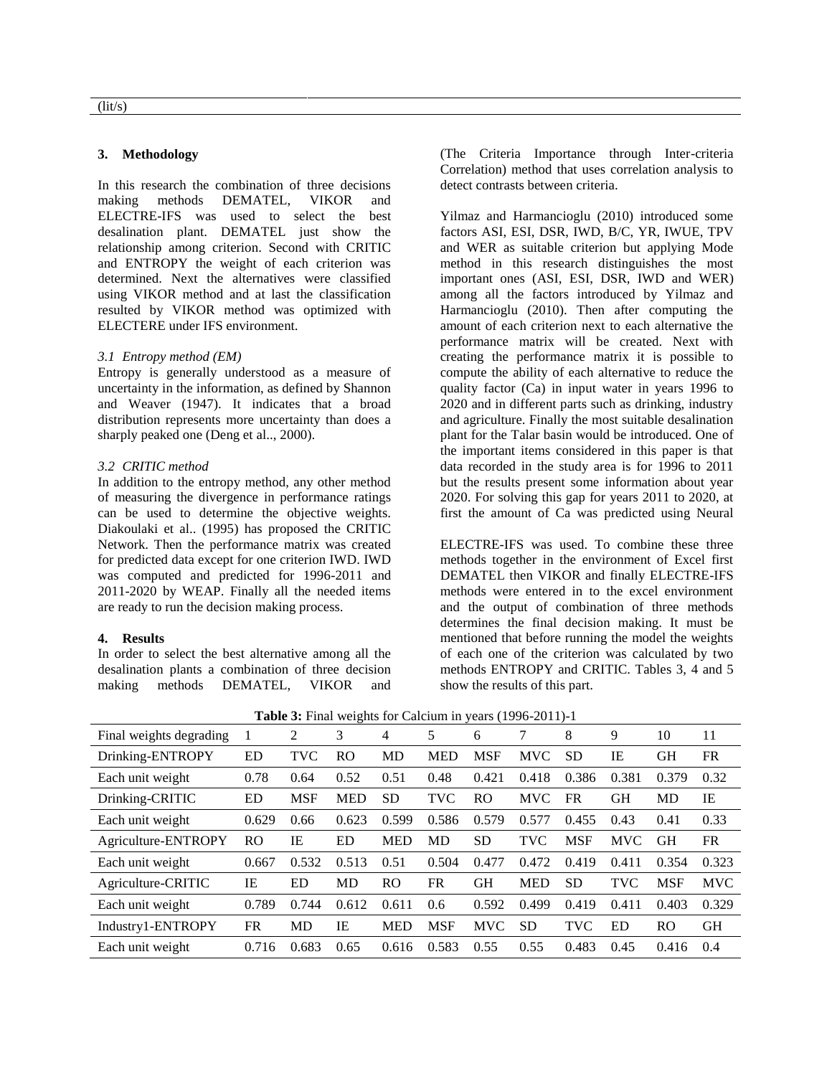#### **3. Methodology**

In this research the combination of three decisions making methods DEMATEL, VIKOR and ELECTRE-IFS was used to select the best desalination plant. DEMATEL just show the relationship among criterion. Second with CRITIC and ENTROPY the weight of each criterion was determined. Next the alternatives were classified using VIKOR method and at last the classification resulted by VIKOR method was optimized with ELECTERE under IFS environment.

### *3.1 Entropy method (EM)*

Entropy is generally understood as a measure of uncertainty in the information, as defined by Shannon and Weaver (1947). It indicates that a broad distribution represents more uncertainty than does a sharply peaked one (Deng et al.., 2000).

#### *3.2 CRITIC method*

In addition to the entropy method, any other method of measuring the divergence in performance ratings can be used to determine the objective weights. Diakoulaki et al.. (1995) has proposed the CRITIC Network. Then the performance matrix was created for predicted data except for one criterion IWD. IWD was computed and predicted for 1996-2011 and 2011-2020 by WEAP. Finally all the needed items are ready to run the decision making process.

#### **4. Results**

In order to select the best alternative among all the desalination plants a combination of three decision making methods DEMATEL, VIKOR and

(The Criteria Importance through Inter-criteria Correlation) method that uses correlation analysis to detect contrasts between criteria.

Yilmaz and Harmancioglu (2010) introduced some factors ASI, ESI, DSR, IWD, B/C, YR, IWUE, TPV and WER as suitable criterion but applying Mode method in this research distinguishes the most important ones (ASI, ESI, DSR, IWD and WER) among all the factors introduced by Yilmaz and Harmancioglu (2010). Then after computing the amount of each criterion next to each alternative the performance matrix will be created. Next with creating the performance matrix it is possible to compute the ability of each alternative to reduce the quality factor (Ca) in input water in years 1996 to 2020 and in different parts such as drinking, industry and agriculture. Finally the most suitable desalination plant for the Talar basin would be introduced. One of the important items considered in this paper is that data recorded in the study area is for 1996 to 2011 but the results present some information about year 2020. For solving this gap for years 2011 to 2020, at first the amount of Ca was predicted using Neural

ELECTRE-IFS was used. To combine these three methods together in the environment of Excel first DEMATEL then VIKOR and finally ELECTRE-IFS methods were entered in to the excel environment and the output of combination of three methods determines the final decision making. It must be mentioned that before running the model the weights of each one of the criterion was calculated by two methods ENTROPY and CRITIC. Tables 3, 4 and 5 show the results of this part.

| <b>Table 3:</b> Final weights for Calcium in years (1996-2011)-1 |
|------------------------------------------------------------------|
|------------------------------------------------------------------|

| Final weights degrading | 1              | 2          | 3          | $\overline{4}$ | 5          | 6          | 7          | 8          | 9          | 10         | 11         |
|-------------------------|----------------|------------|------------|----------------|------------|------------|------------|------------|------------|------------|------------|
| Drinking-ENTROPY        | ED             | <b>TVC</b> | RO.        | MD             | <b>MED</b> | <b>MSF</b> | <b>MVC</b> | <b>SD</b>  | IE         | <b>GH</b>  | <b>FR</b>  |
| Each unit weight        | 0.78           | 0.64       | 0.52       | 0.51           | 0.48       | 0.421      | 0.418      | 0.386      | 0.381      | 0.379      | 0.32       |
| Drinking-CRITIC         | ED             | <b>MSF</b> | <b>MED</b> | <b>SD</b>      | <b>TVC</b> | RO         | <b>MVC</b> | FR         | GН         | MD         | IE         |
| Each unit weight        | 0.629          | 0.66       | 0.623      | 0.599          | 0.586      | 0.579      | 0.577      | 0.455      | 0.43       | 0.41       | 0.33       |
| Agriculture-ENTROPY     | R <sub>O</sub> | IE         | ED         | <b>MED</b>     | MD         | <b>SD</b>  | TVC        | <b>MSF</b> | <b>MVC</b> | <b>GH</b>  | <b>FR</b>  |
| Each unit weight        | 0.667          | 0.532      | 0.513      | 0.51           | 0.504      | 0.477      | 0.472      | 0.419      | 0.411      | 0.354      | 0.323      |
| Agriculture-CRITIC      | IE             | ED         | MD         | RO             | <b>FR</b>  | <b>GH</b>  | <b>MED</b> | <b>SD</b>  | <b>TVC</b> | <b>MSF</b> | <b>MVC</b> |
| Each unit weight        | 0.789          | 0.744      | 0.612      | 0.611          | 0.6        | 0.592      | 0.499      | 0.419      | 0.411      | 0.403      | 0.329      |
| Industry1-ENTROPY       | <b>FR</b>      | MD         | IE         | <b>MED</b>     | <b>MSF</b> | <b>MVC</b> | <b>SD</b>  | <b>TVC</b> | ED         | <b>RO</b>  | <b>GH</b>  |
| Each unit weight        | 0.716          | 0.683      | 0.65       | 0.616          | 0.583      | 0.55       | 0.55       | 0.483      | 0.45       | 0.416      | 0.4        |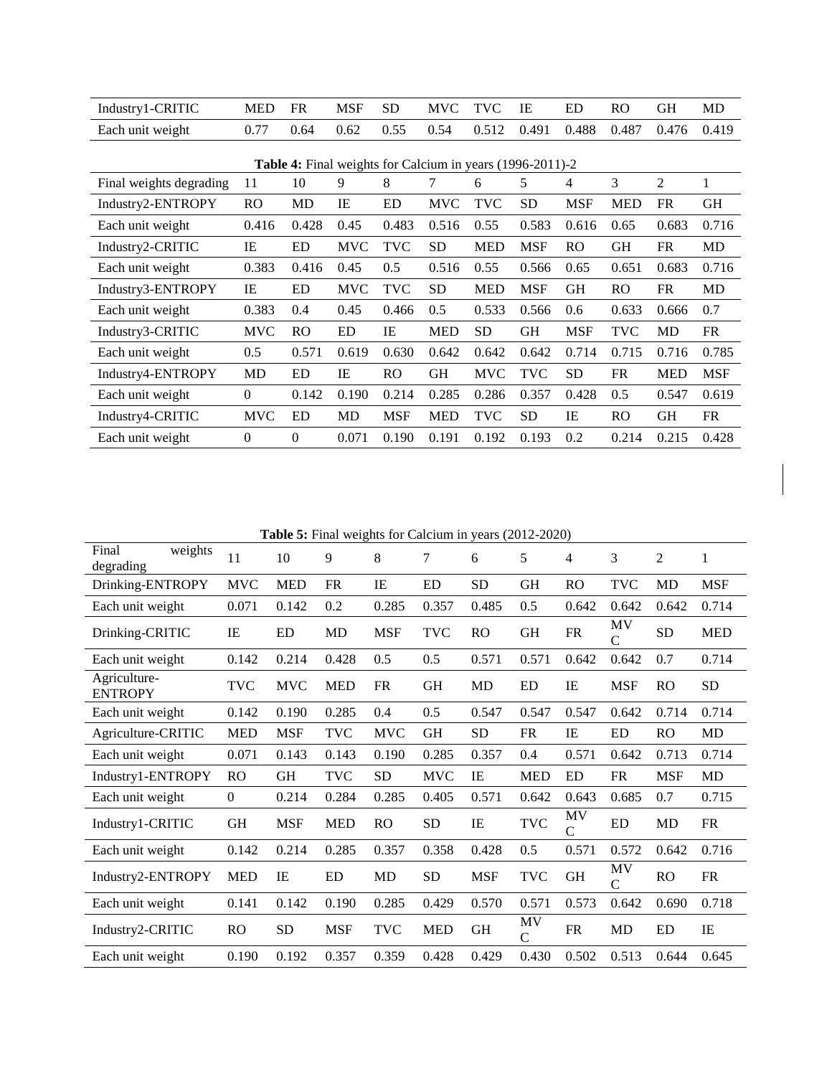| Industry1-CRITIC                                          | <b>MED</b>     | <b>FR</b> | <b>MSF</b> | <b>SD</b>      | <b>MVC</b> | <b>TVC</b> | IE         | ED         | <b>RO</b>  | <b>GH</b>      | MD         |  |
|-----------------------------------------------------------|----------------|-----------|------------|----------------|------------|------------|------------|------------|------------|----------------|------------|--|
| Each unit weight                                          | 0.77           | 0.64      | 0.62       | 0.55           | 0.54       | 0.512      | 0.491      | 0.488      | 0.487      | 0.476          | 0.419      |  |
|                                                           |                |           |            |                |            |            |            |            |            |                |            |  |
| Table 4: Final weights for Calcium in years (1996-2011)-2 |                |           |            |                |            |            |            |            |            |                |            |  |
| Final weights degrading                                   | 11             | 10        | 9          | 8              | 7          | 6          | 5          | 4          | 3          | $\overline{2}$ | 1          |  |
| Industry2-ENTROPY                                         | R <sub>O</sub> | MD        | IE         | <b>ED</b>      | <b>MVC</b> | TVC        | <b>SD</b>  | <b>MSF</b> | <b>MED</b> | <b>FR</b>      | <b>GH</b>  |  |
| Each unit weight                                          | 0.416          | 0.428     | 0.45       | 0.483          | 0.516      | 0.55       | 0.583      | 0.616      | 0.65       | 0.683          | 0.716      |  |
| Industry2-CRITIC                                          | IE             | ED        | <b>MVC</b> | <b>TVC</b>     | <b>SD</b>  | <b>MED</b> | <b>MSF</b> | <b>RO</b>  | GH         | <b>FR</b>      | <b>MD</b>  |  |
| Each unit weight                                          | 0.383          | 0.416     | 0.45       | 0.5            | 0.516      | 0.55       | 0.566      | 0.65       | 0.651      | 0.683          | 0.716      |  |
| Industry3-ENTROPY                                         | IE             | ED        | <b>MVC</b> | <b>TVC</b>     | <b>SD</b>  | <b>MED</b> | <b>MSF</b> | GH         | RO         | <b>FR</b>      | MD         |  |
| Each unit weight                                          | 0.383          | 0.4       | 0.45       | 0.466          | 0.5        | 0.533      | 0.566      | 0.6        | 0.633      | 0.666          | 0.7        |  |
| Industry3-CRITIC                                          | <b>MVC</b>     | <b>RO</b> | ED         | IE             | <b>MED</b> | SD.        | <b>GH</b>  | MSF        | TVC        | MD             | FR         |  |
| Each unit weight                                          | 0.5            | 0.571     | 0.619      | 0.630          | 0.642      | 0.642      | 0.642      | 0.714      | 0.715      | 0.716          | 0.785      |  |
| Industry4-ENTROPY                                         | <b>MD</b>      | <b>ED</b> | IE         | R <sub>O</sub> | <b>GH</b>  | <b>MVC</b> | <b>TVC</b> | <b>SD</b>  | <b>FR</b>  | <b>MED</b>     | <b>MSF</b> |  |
| Each unit weight                                          | $\theta$       | 0.142     | 0.190      | 0.214          | 0.285      | 0.286      | 0.357      | 0.428      | 0.5        | 0.547          | 0.619      |  |
| Industry4-CRITIC                                          | <b>MVC</b>     | ED        | MD         | <b>MSF</b>     | <b>MED</b> | TVC        | <b>SD</b>  | IE         | RO.        | <b>GH</b>      | FR         |  |
| Each unit weight                                          | $\Omega$       | $\Omega$  | 0.071      | 0.190          | 0.191      | 0.192      | 0.193      | 0.2        | 0.214      | 0.215          | 0.428      |  |

**Table 5:** Final weights for Calcium in years (2012-2020)

| Final<br>weights<br>degrading  | 11               | 10         | 9          | 8          | 7          | 6          | 5                  | $\overline{4}$      | 3          | $\overline{2}$ | 1          |
|--------------------------------|------------------|------------|------------|------------|------------|------------|--------------------|---------------------|------------|----------------|------------|
| Drinking-ENTROPY               | <b>MVC</b>       | <b>MED</b> | <b>FR</b>  | IE         | ED         | <b>SD</b>  | <b>GH</b>          | <b>RO</b>           | <b>TVC</b> | MD             | <b>MSF</b> |
| Each unit weight               | 0.071            | 0.142      | 0.2        | 0.285      | 0.357      | 0.485      | 0.5                | 0.642               | 0.642      | 0.642          | 0.714      |
| Drinking-CRITIC                | IE               | ED         | MD         | <b>MSF</b> | <b>TVC</b> | RO.        | <b>GH</b>          | FR                  | MV<br>C    | <b>SD</b>      | <b>MED</b> |
| Each unit weight               | 0.142            | 0.214      | 0.428      | 0.5        | 0.5        | 0.571      | 0.571              | 0.642               | 0.642      | 0.7            | 0.714      |
| Agriculture-<br><b>ENTROPY</b> | <b>TVC</b>       | <b>MVC</b> | <b>MED</b> | <b>FR</b>  | <b>GH</b>  | MD         | ED                 | IE                  | <b>MSF</b> | RO             | <b>SD</b>  |
| Each unit weight               | 0.142            | 0.190      | 0.285      | 0.4        | 0.5        | 0.547      | 0.547              | 0.547               | 0.642      | 0.714          | 0.714      |
| Agriculture-CRITIC             | <b>MED</b>       | <b>MSF</b> | <b>TVC</b> | <b>MVC</b> | <b>GH</b>  | <b>SD</b>  | <b>FR</b>          | IE                  | ED         | RO             | MD         |
| Each unit weight               | 0.071            | 0.143      | 0.143      | 0.190      | 0.285      | 0.357      | 0.4                | 0.571               | 0.642      | 0.713          | 0.714      |
| Industry1-ENTROPY              | R <sub>O</sub>   | GH         | <b>TVC</b> | SD         | <b>MVC</b> | IE         | <b>MED</b>         | ED                  | FR         | <b>MSF</b>     | MD         |
| Each unit weight               | $\boldsymbol{0}$ | 0.214      | 0.284      | 0.285      | 0.405      | 0.571      | 0.642              | 0.643               | 0.685      | 0.7            | 0.715      |
| Industry1-CRITIC               | <b>GH</b>        | <b>MSF</b> | <b>MED</b> | RO         | <b>SD</b>  | IE         | <b>TVC</b>         | MV<br>$\mathcal{C}$ | ED         | MD             | FR         |
| Each unit weight               | 0.142            | 0.214      | 0.285      | 0.357      | 0.358      | 0.428      | 0.5                | 0.571               | 0.572      | 0.642          | 0.716      |
| Industry2-ENTROPY              | <b>MED</b>       | IE         | ED         | MD         | <b>SD</b>  | <b>MSF</b> | <b>TVC</b>         | <b>GH</b>           | MV<br>C    | RO             | <b>FR</b>  |
| Each unit weight               | 0.141            | 0.142      | 0.190      | 0.285      | 0.429      | 0.570      | 0.571              | 0.573               | 0.642      | 0.690          | 0.718      |
| Industry2-CRITIC               | R <sub>O</sub>   | <b>SD</b>  | <b>MSF</b> | <b>TVC</b> | <b>MED</b> | <b>GH</b>  | MV<br>$\mathsf{C}$ | FR                  | <b>MD</b>  | ED             | IE         |
| Each unit weight               | 0.190            | 0.192      | 0.357      | 0.359      | 0.428      | 0.429      | 0.430              | 0.502               | 0.513      | 0.644          | 0.645      |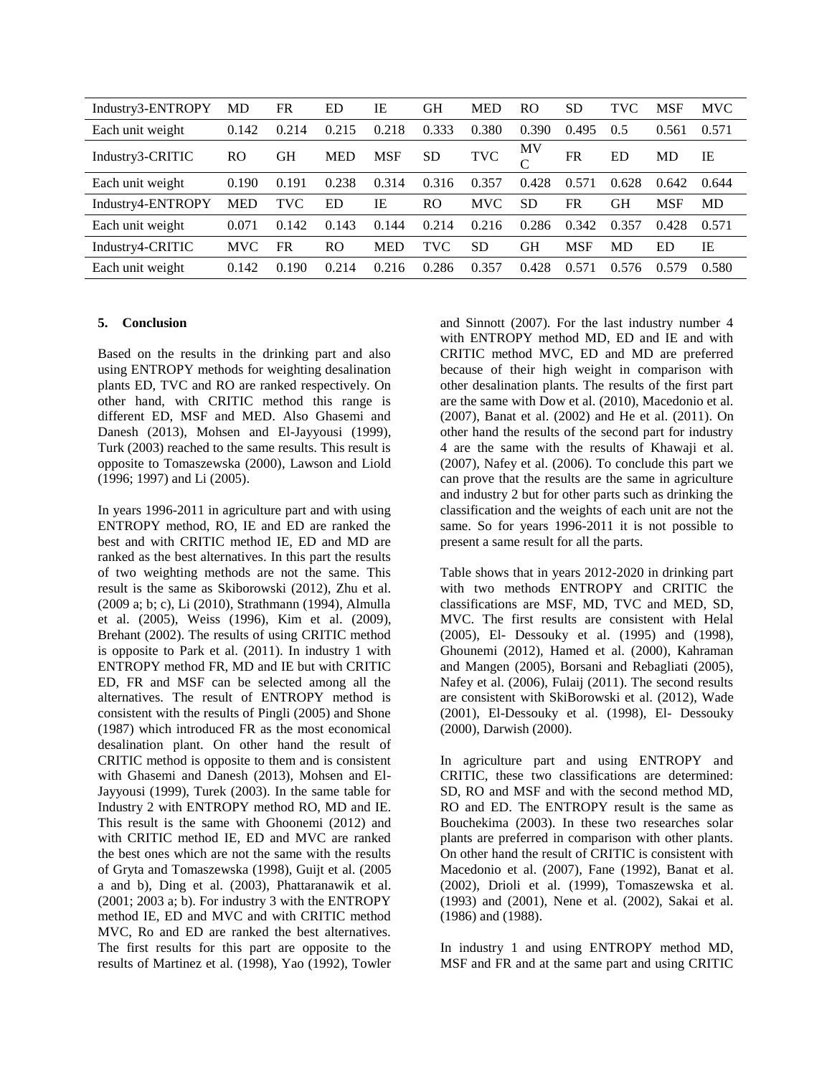| Industry3-ENTROPY | MD         | FR    | ED         | IE         | <b>GH</b>      | <b>MED</b> | R <sub>O</sub> | <b>SD</b>  | <b>TVC</b> | <b>MSF</b> | <b>MVC</b> |
|-------------------|------------|-------|------------|------------|----------------|------------|----------------|------------|------------|------------|------------|
| Each unit weight  | 0.142      | 0.214 | 0.215      | 0.218      | 0.333          | 0.380      | 0.390          | 0.495      | 0.5        | 0.561      | 0.571      |
| Industry3-CRITIC  | <b>RO</b>  | GН    | <b>MED</b> | <b>MSF</b> | <b>SD</b>      | <b>TVC</b> | ΜV<br>$\Gamma$ | FR         | ED         | MD         | IE         |
| Each unit weight  | 0.190      | 0.191 | 0.238      | 0.314      | 0.316          | 0.357      | 0.428          | 0.571      | 0.628      | 0.642      | 0.644      |
| Industry4-ENTROPY | <b>MED</b> | TVC   | ED         | IE         | R <sub>O</sub> | <b>MVC</b> | <b>SD</b>      | FR         | GH         | <b>MSF</b> | <b>MD</b>  |
| Each unit weight  | 0.071      | 0.142 | 0.143      | 0.144      | 0.214          | 0.216      | 0.286          | 0.342      | 0.357      | 0.428      | 0.571      |
| Industry4-CRITIC  | <b>MVC</b> | FR    | RO         | <b>MED</b> | TVC            | <b>SD</b>  | <b>GH</b>      | <b>MSF</b> | MD         | ED         | IE         |
| Each unit weight  | 0.142      | 0.190 | 0.214      | 0.216      | 0.286          | 0.357      | 0.428          | 0.571      | 0.576      | 0.579      | 0.580      |

#### **5. Conclusion**

Based on the results in the drinking part and also using ENTROPY methods for weighting desalination plants ED, TVC and RO are ranked respectively. On other hand, with CRITIC method this range is different ED, MSF and MED. Also Ghasemi and Danesh (2013), Mohsen and El-Jayyousi (1999), Turk (2003) reached to the same results. This result is opposite to Tomaszewska (2000), Lawson and Liold (1996; 1997) and Li (2005).

In years 1996-2011 in agriculture part and with using ENTROPY method, RO, IE and ED are ranked the best and with CRITIC method IE, ED and MD are ranked as the best alternatives. In this part the results of two weighting methods are not the same. This result is the same as Skiborowski (2012), Zhu et al. (2009 a; b; c), Li (2010), Strathmann (1994), Almulla et al. (2005), Weiss (1996), Kim et al. (2009), Brehant (2002). The results of using CRITIC method is opposite to Park et al. (2011). In industry 1 with ENTROPY method FR, MD and IE but with CRITIC ED, FR and MSF can be selected among all the alternatives. The result of ENTROPY method is consistent with the results of Pingli (2005) and Shone (1987) which introduced FR as the most economical desalination plant. On other hand the result of CRITIC method is opposite to them and is consistent with Ghasemi and Danesh (2013), Mohsen and El-Jayyousi (1999), Turek (2003). In the same table for Industry 2 with ENTROPY method RO, MD and IE. This result is the same with Ghoonemi (2012) and with CRITIC method IE, ED and MVC are ranked the best ones which are not the same with the results of Gryta and Tomaszewska (1998), Guijt et al. (2005 a and b), Ding et al. (2003), Phattaranawik et al. (2001; 2003 a; b). For industry 3 with the ENTROPY method IE, ED and MVC and with CRITIC method MVC, Ro and ED are ranked the best alternatives. The first results for this part are opposite to the results of Martinez et al. (1998), Yao (1992), Towler and Sinnott (2007). For the last industry number 4 with ENTROPY method MD, ED and IE and with CRITIC method MVC, ED and MD are preferred because of their high weight in comparison with other desalination plants. The results of the first part are the same with Dow et al. (2010), Macedonio et al. (2007), Banat et al. (2002) and He et al. (2011). On other hand the results of the second part for industry 4 are the same with the results of Khawaji et al. (2007), Nafey et al. (2006). To conclude this part we can prove that the results are the same in agriculture and industry 2 but for other parts such as drinking the classification and the weights of each unit are not the same. So for years 1996-2011 it is not possible to present a same result for all the parts.

Table shows that in years 2012-2020 in drinking part with two methods ENTROPY and CRITIC the classifications are MSF, MD, TVC and MED, SD, MVC. The first results are consistent with Helal (2005), El- Dessouky et al. (1995) and (1998), Ghounemi (2012), Hamed et al. (2000), Kahraman and Mangen (2005), Borsani and Rebagliati (2005), Nafey et al. (2006), Fulaij (2011). The second results are consistent with SkiBorowski et al. (2012), Wade (2001), El-Dessouky et al. (1998), El- Dessouky (2000), Darwish (2000).

In agriculture part and using ENTROPY and CRITIC, these two classifications are determined: SD, RO and MSF and with the second method MD, RO and ED. The ENTROPY result is the same as Bouchekima (2003). In these two researches solar plants are preferred in comparison with other plants. On other hand the result of CRITIC is consistent with Macedonio et al. (2007), Fane (1992), Banat et al. (2002), Drioli et al. (1999), Tomaszewska et al. (1993) and (2001), Nene et al. (2002), Sakai et al. (1986) and (1988).

In industry 1 and using ENTROPY method MD, MSF and FR and at the same part and using CRITIC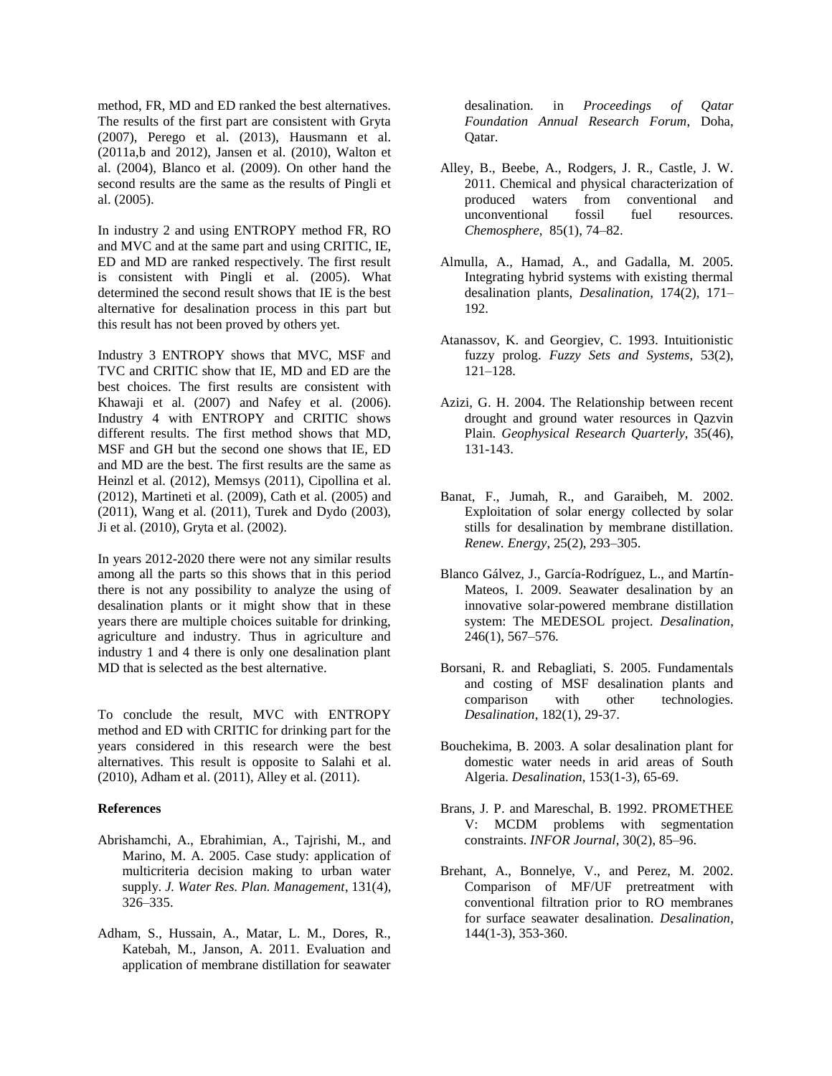method, FR, MD and ED ranked the best alternatives. The results of the first part are consistent with Gryta (2007), Perego et al. (2013), Hausmann et al. (2011a,b and 2012), Jansen et al. (2010), Walton et al. (2004), Blanco et al. (2009). On other hand the second results are the same as the results of Pingli et al. (2005).

In industry 2 and using ENTROPY method FR, RO and MVC and at the same part and using CRITIC, IE, ED and MD are ranked respectively. The first result is consistent with Pingli et al. (2005). What determined the second result shows that IE is the best alternative for desalination process in this part but this result has not been proved by others yet.

Industry 3 ENTROPY shows that MVC, MSF and TVC and CRITIC show that IE, MD and ED are the best choices. The first results are consistent with Khawaji et al. (2007) and Nafey et al. (2006). Industry 4 with ENTROPY and CRITIC shows different results. The first method shows that MD, MSF and GH but the second one shows that IE, ED and MD are the best. The first results are the same as Heinzl et al. (2012), Memsys (2011), Cipollina et al. (2012), Martineti et al. (2009), Cath et al. (2005) and (2011), Wang et al. (2011), Turek and Dydo (2003), Ji et al. (2010), Gryta et al. (2002).

In years 2012-2020 there were not any similar results among all the parts so this shows that in this period there is not any possibility to analyze the using of desalination plants or it might show that in these years there are multiple choices suitable for drinking, agriculture and industry. Thus in agriculture and industry 1 and 4 there is only one desalination plant MD that is selected as the best alternative.

To conclude the result, MVC with ENTROPY method and ED with CRITIC for drinking part for the years considered in this research were the best alternatives. This result is opposite to Salahi et al. (2010), Adham et al. (2011), Alley et al. (2011).

#### **References**

- Abrishamchi, A., Ebrahimian, A., Tajrishi, M., and Marino, M. A. 2005. Case study: application of multicriteria decision making to urban water supply. *J. Water Res. Plan. Management*, 131(4), 326–335.
- Adham, S., Hussain, A., Matar, L. M., Dores, R., Katebah, M., Janson, A. 2011. Evaluation and application of membrane distillation for seawater

desalination. in *Proceedings of Qatar Foundation Annual Research Forum*, Doha, Qatar.

- Alley, B., Beebe, A., Rodgers, J. R., Castle, J. W. 2011. Chemical and physical characterization of produced waters from conventional and unconventional fossil fuel resources. *Chemosphere*, 85(1), 74–82.
- Almulla, A., Hamad, A., and Gadalla, M. 2005. Integrating hybrid systems with existing thermal desalination plants, *Desalination*, 174(2), 171– 192.
- Atanassov, K. and Georgiev, C. 1993. Intuitionistic fuzzy prolog. *Fuzzy Sets and Systems*, 53(2), 121–128.
- Azizi, G. H. 2004. The Relationship between recent drought and ground water resources in Qazvin Plain. *Geophysical Research Quarterly*, 35(46), 131-143.
- Banat, F., Jumah, R., and Garaibeh, M. 2002. Exploitation of solar energy collected by solar stills for desalination by membrane distillation. *Renew. Energy*, 25(2), 293–305.
- Blanco Gálvez, J., García-Rodríguez, L., and Martín-Mateos, I. 2009. Seawater desalination by an innovative solar-powered membrane distillation system: The MEDESOL project. *Desalination*, 246(1), 567–576.
- Borsani, R. and Rebagliati, S. 2005. Fundamentals and costing of MSF desalination plants and comparison with other technologies. *Desalination*, 182(1), 29-37.
- Bouchekima, B. 2003. A solar desalination plant for domestic water needs in arid areas of South Algeria. *Desalination*, 153(1-3), 65-69.
- Brans, J. P. and Mareschal, B. 1992. PROMETHEE V: MCDM problems with segmentation constraints. *INFOR Journal*, 30(2), 85–96.
- Brehant, A., Bonnelye, V., and Perez, M. 2002. Comparison of MF/UF pretreatment with conventional filtration prior to RO membranes for surface seawater desalination. *Desalination*, 144(1-3), 353-360.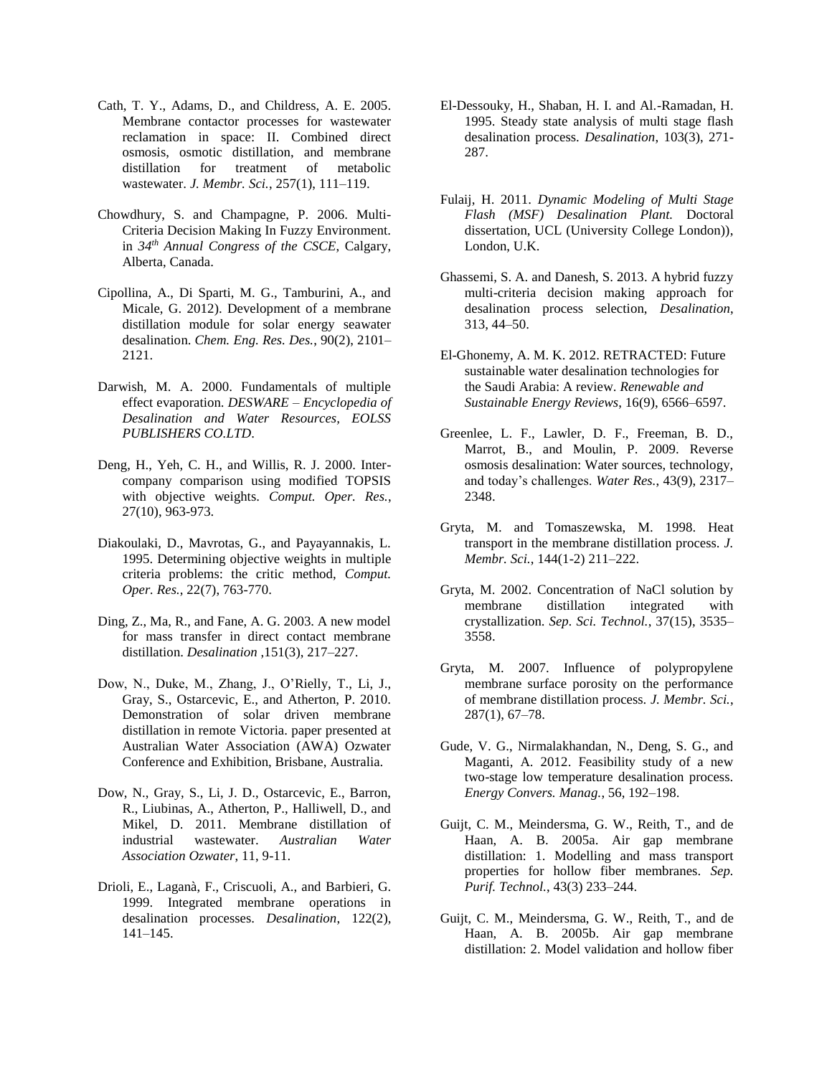- Cath, T. Y., Adams, D., and Childress, A. E. 2005. Membrane contactor processes for wastewater reclamation in space: II. Combined direct osmosis, osmotic distillation, and membrane distillation for treatment of metabolic wastewater. *J. Membr. Sci.*, 257(1), 111–119.
- Chowdhury, S. and Champagne, P. 2006. Multi-Criteria Decision Making In Fuzzy Environment. in *34th Annual Congress of the CSCE*, Calgary, Alberta, Canada.
- Cipollina, A., Di Sparti, M. G., Tamburini, A., and Micale, G. 2012). Development of a membrane distillation module for solar energy seawater desalination. *Chem. Eng. Res. Des.*, 90(2), 2101– 2121.
- Darwish, M. A. 2000. Fundamentals of multiple effect evaporation. *DESWARE – Encyclopedia of Desalination and Water Resources, EOLSS PUBLISHERS CO.LTD*.
- Deng, H., Yeh, C. H., and Willis, R. J. 2000. Intercompany comparison using modified TOPSIS with objective weights. *Comput. Oper. Res.*, 27(10), 963-973.
- Diakoulaki, D., Mavrotas, G., and Payayannakis, L. 1995. Determining objective weights in multiple criteria problems: the critic method, *Comput. Oper. Res.*, 22(7), 763-770.
- Ding, Z., Ma, R., and Fane, A. G. 2003. A new model for mass transfer in direct contact membrane distillation. *Desalination* ,151(3), 217–227.
- Dow, N., Duke, M., Zhang, J., O'Rielly, T., Li, J., Gray, S., Ostarcevic, E., and Atherton, P. 2010. Demonstration of solar driven membrane distillation in remote Victoria. paper presented at Australian Water Association (AWA) Ozwater Conference and Exhibition, Brisbane, Australia.
- Dow, N., Gray, S., Li, J. D., Ostarcevic, E., Barron, R., Liubinas, A., Atherton, P., Halliwell, D., and Mikel, D. 2011. Membrane distillation of industrial wastewater. *Australian Water Association Ozwater*, 11, 9-11.
- Drioli, E., Laganà, F., Criscuoli, A., and Barbieri, G. 1999. Integrated membrane operations in desalination processes. *Desalination*, 122(2), 141–145.
- El-Dessouky, H., Shaban, H. I. and Al.-Ramadan, H. 1995. Steady state analysis of multi stage flash desalination process. *Desalination*, 103(3), 271- 287.
- Fulaij, H. 2011. *Dynamic Modeling of Multi Stage Flash (MSF) Desalination Plant.* Doctoral dissertation, UCL (University College London)), London, U.K.
- Ghassemi, S. A. and Danesh, S. 2013. A hybrid fuzzy multi-criteria decision making approach for desalination process selection, *Desalination*, 313, 44–50.
- El-Ghonemy, A. M. K. 2012. RETRACTED: Future sustainable water desalination technologies for the Saudi Arabia: A review. *Renewable and Sustainable Energy Reviews*, 16(9), 6566–6597.
- Greenlee, L. F., Lawler, D. F., Freeman, B. D., Marrot, B., and Moulin, P. 2009. Reverse osmosis desalination: Water sources, technology, and today's challenges. *Water Res.*, 43(9), 2317– 2348.
- Gryta, M. and Tomaszewska, M. 1998. Heat transport in the membrane distillation process. *J. Membr. Sci.*, 144(1-2) 211–222.
- Gryta, M. 2002. Concentration of NaCl solution by membrane distillation integrated with crystallization. *Sep. Sci. Technol.*, 37(15), 3535– 3558.
- Gryta, M. 2007. Influence of polypropylene membrane surface porosity on the performance of membrane distillation process. *J. Membr. Sci.*, 287(1), 67–78.
- Gude, V. G., Nirmalakhandan, N., Deng, S. G., and Maganti, A. 2012. Feasibility study of a new two-stage low temperature desalination process. *Energy Convers. Manag.*, 56, 192–198.
- Guijt, C. M., Meindersma, G. W., Reith, T., and de Haan, A. B. 2005a. Air gap membrane distillation: 1. Modelling and mass transport properties for hollow fiber membranes. *Sep. Purif. Technol.*, 43(3) 233–244.
- Guijt, C. M., Meindersma, G. W., Reith, T., and de Haan, A. B. 2005b. Air gap membrane distillation: 2. Model validation and hollow fiber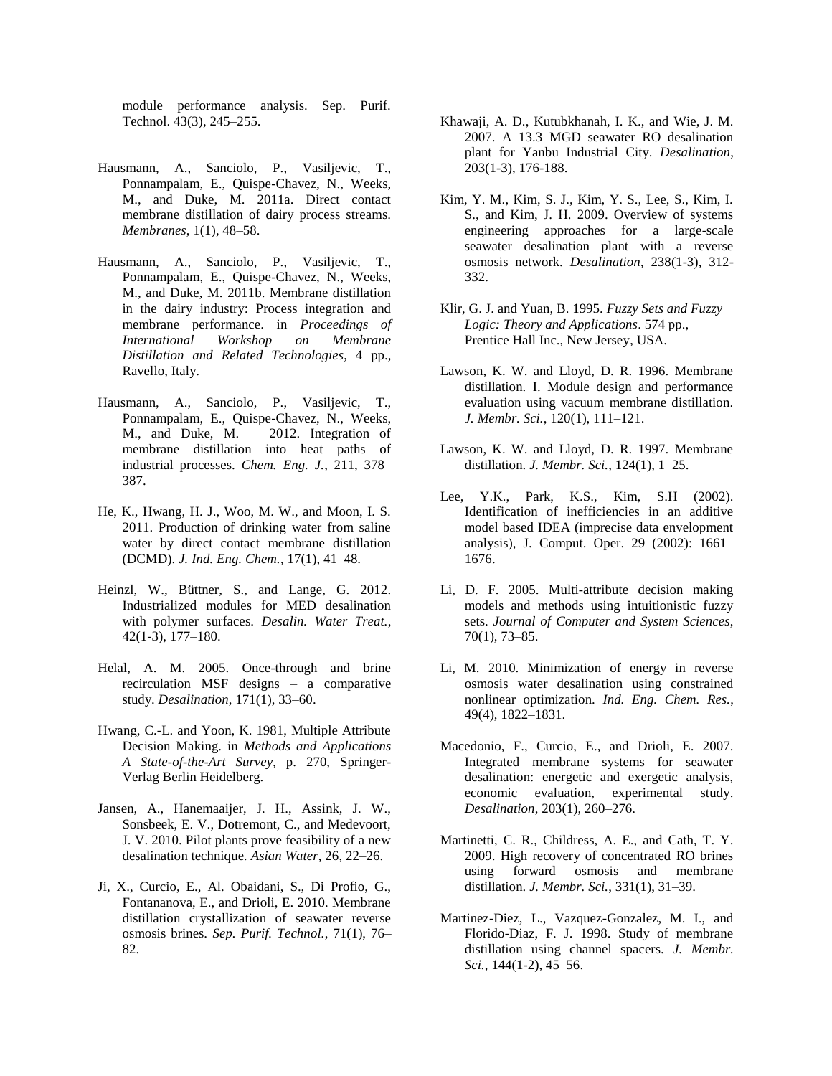module performance analysis. Sep. Purif. Technol. 43(3), 245–255.

- Hausmann, A., Sanciolo, P., Vasiljevic, T., Ponnampalam, E., Quispe-Chavez, N., Weeks, M., and Duke, M. 2011a. Direct contact membrane distillation of dairy process streams. *Membranes*, 1(1), 48–58.
- Hausmann, A., Sanciolo, P., Vasiljevic, T., Ponnampalam, E., Quispe-Chavez, N., Weeks, M., and Duke, M. 2011b. Membrane distillation in the dairy industry: Process integration and membrane performance. in *Proceedings of International Workshop on Membrane Distillation and Related Technologies*, 4 pp., Ravello, Italy.
- Hausmann, A., Sanciolo, P., Vasiljevic, T., Ponnampalam, E., Quispe-Chavez, N., Weeks, M., and Duke, M. 2012. Integration of membrane distillation into heat paths of industrial processes. *Chem. Eng. J.*, 211, 378– 387.
- He, K., Hwang, H. J., Woo, M. W., and Moon, I. S. 2011. Production of drinking water from saline water by direct contact membrane distillation (DCMD). *J. Ind. Eng. Chem.*, 17(1), 41–48.
- Heinzl, W., Büttner, S., and Lange, G. 2012. Industrialized modules for MED desalination with polymer surfaces. *Desalin. Water Treat.*, 42(1-3), 177–180.
- Helal, A. M. 2005. Once-through and brine recirculation MSF designs – a comparative study. *Desalination*, 171(1), 33–60.
- Hwang, C.-L. and Yoon, K. 1981, Multiple Attribute Decision Making. in *Methods and Applications A State-of-the-Art Survey*, p. 270, Springer-Verlag Berlin Heidelberg.
- Jansen, A., Hanemaaijer, J. H., Assink, J. W., Sonsbeek, E. V., Dotremont, C., and Medevoort, J. V. 2010. Pilot plants prove feasibility of a new desalination technique*. Asian Water*, 26, 22–26.
- Ji, X., Curcio, E., Al. Obaidani, S., Di Profio, G., Fontananova, E., and Drioli, E. 2010. Membrane distillation crystallization of seawater reverse osmosis brines. *Sep. Purif. Technol.*, 71(1), 76– 82.
- Khawaji, A. D., Kutubkhanah, I. K., and Wie, J. M. 2007. A 13.3 MGD seawater RO desalination plant for Yanbu Industrial City. *Desalination*, 203(1-3), 176-188.
- Kim, Y. M., Kim, S. J., Kim, Y. S., Lee, S., Kim, I. S., and Kim, J. H. 2009. Overview of systems engineering approaches for a large-scale seawater desalination plant with a reverse osmosis network. *Desalination*, 238(1-3), 312- 332.
- Klir, G. J. and Yuan, B. 1995. *Fuzzy Sets and Fuzzy Logic: Theory and Applications*. 574 pp., Prentice Hall Inc., New Jersey, USA.
- Lawson, K. W. and Lloyd, D. R. 1996. Membrane distillation. I. Module design and performance evaluation using vacuum membrane distillation. *J. Membr. Sci.*, 120(1), 111–121.
- Lawson, K. W. and Lloyd, D. R. 1997. Membrane distillation. *J. Membr. Sci.*, 124(1), 1–25.
- Lee, Y.K., Park, K.S., Kim, S.H (2002). Identification of inefficiencies in an additive model based IDEA (imprecise data envelopment analysis), J. Comput. Oper. 29 (2002): 1661– 1676.
- Li, D. F. 2005. Multi-attribute decision making models and methods using intuitionistic fuzzy sets. *Journal of Computer and System Sciences*, 70(1), 73–85.
- Li, M. 2010. Minimization of energy in reverse osmosis water desalination using constrained nonlinear optimization. *Ind. Eng. Chem. Res.*, 49(4), 1822–1831.
- Macedonio, F., Curcio, E., and Drioli, E. 2007. Integrated membrane systems for seawater desalination: energetic and exergetic analysis, economic evaluation, experimental study. *Desalination*, 203(1), 260–276.
- Martinetti, C. R., Childress, A. E., and Cath, T. Y. 2009. High recovery of concentrated RO brines using forward osmosis and membrane distillation. *J. Membr. Sci.*, 331(1), 31–39.
- Martinez-Diez, L., Vazquez-Gonzalez, M. I., and Florido-Diaz, F. J. 1998. Study of membrane distillation using channel spacers. *J. Membr. Sci.*, 144(1-2), 45–56.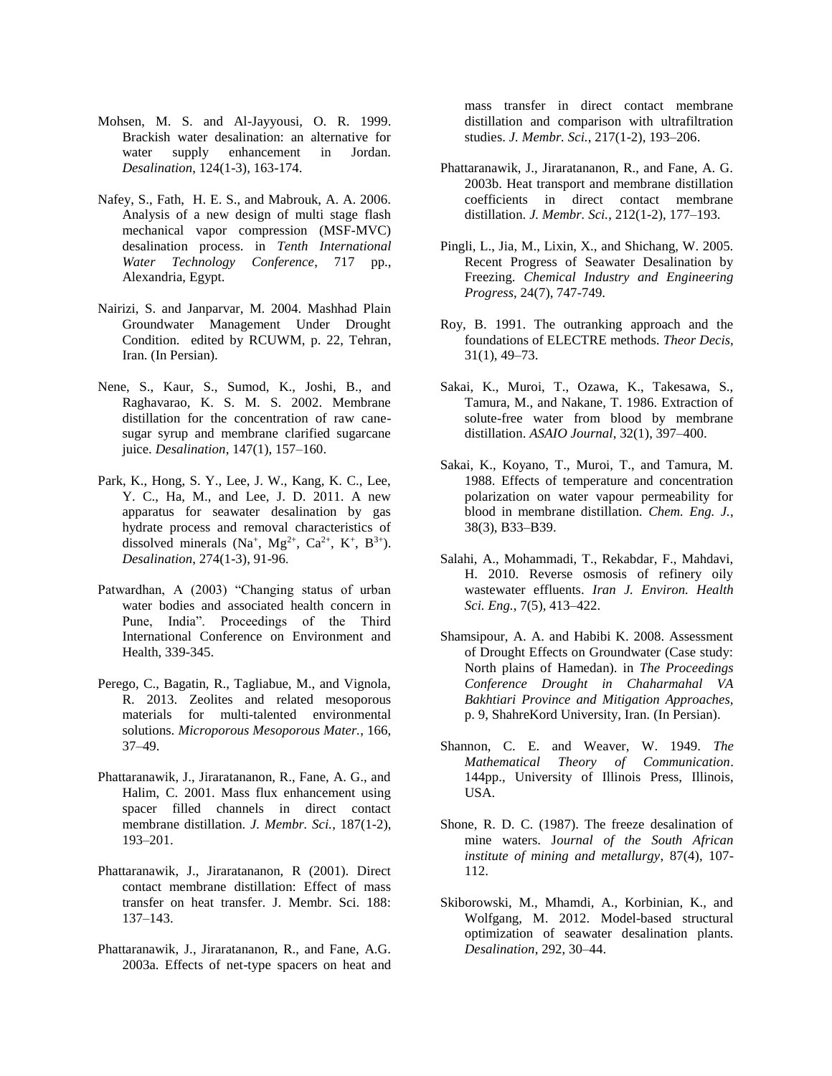- Mohsen, M. S. and Al-Jayyousi, O. R. 1999. Brackish water desalination: an alternative for water supply enhancement in Jordan. *Desalination*, 124(1-3), 163-174.
- Nafey, S., Fath, H. E. S., and Mabrouk, A. A. 2006. Analysis of a new design of multi stage flash mechanical vapor compression (MSF-MVC) desalination process. in *Tenth International Water Technology Conference*, 717 pp., Alexandria, Egypt.
- Nairizi, S. and Janparvar, M. 2004. Mashhad Plain Groundwater Management Under Drought Condition. edited by RCUWM, p. 22, Tehran, Iran. (In Persian).
- Nene, S., Kaur, S., Sumod, K., Joshi, B., and Raghavarao, K. S. M. S. 2002. Membrane distillation for the concentration of raw canesugar syrup and membrane clarified sugarcane juice. *Desalination*, 147(1), 157–160.
- Park, K., Hong, S. Y., Lee, J. W., Kang, K. C., Lee, Y. C., Ha, M., and Lee, J. D. 2011. A new apparatus for seawater desalination by gas hydrate process and removal characteristics of dissolved minerals (Na<sup>+</sup>, Mg<sup>2+</sup>, Ca<sup>2+</sup>, K<sup>+</sup>, B<sup>3+</sup>). *Desalination*, 274(1-3), 91-96.
- Patwardhan, A (2003) "Changing status of urban water bodies and associated health concern in Pune, India". Proceedings of the Third International Conference on Environment and Health, 339-345.
- Perego, C., Bagatin, R., Tagliabue, M., and Vignola, R. 2013. Zeolites and related mesoporous materials for multi-talented environmental solutions. *Microporous Mesoporous Mater.*, 166, 37–49.
- Phattaranawik, J., Jiraratananon, R., Fane, A. G., and Halim, C. 2001. Mass flux enhancement using spacer filled channels in direct contact membrane distillation. *J. Membr. Sci.*, 187(1-2), 193–201.
- Phattaranawik, J., Jiraratananon, R (2001). Direct contact membrane distillation: Effect of mass transfer on heat transfer. J. Membr. Sci. 188: 137–143.
- Phattaranawik, J., Jiraratananon, R., and Fane, A.G. 2003a. Effects of net-type spacers on heat and

mass transfer in direct contact membrane distillation and comparison with ultrafiltration studies. *J. Membr. Sci.*, 217(1-2), 193–206.

- Phattaranawik, J., Jiraratananon, R., and Fane, A. G. 2003b. Heat transport and membrane distillation coefficients in direct contact membrane distillation. *J. Membr. Sci.*, 212(1-2), 177–193.
- Pingli, L., Jia, M., Lixin, X., and Shichang, W. 2005. Recent Progress of Seawater Desalination by Freezing. *Chemical Industry and Engineering Progress*, 24(7), 747-749.
- Roy, B. 1991. The outranking approach and the foundations of ELECTRE methods. *Theor Decis*, 31(1), 49–73.
- Sakai, K., Muroi, T., Ozawa, K., Takesawa, S., Tamura, M., and Nakane, T. 1986. Extraction of solute-free water from blood by membrane distillation. *ASAIO Journal*, 32(1), 397–400.
- Sakai, K., Koyano, T., Muroi, T., and Tamura, M. 1988. Effects of temperature and concentration polarization on water vapour permeability for blood in membrane distillation. *Chem. Eng. J.*, 38(3), B33–B39.
- Salahi, A., Mohammadi, T., Rekabdar, F., Mahdavi, H. 2010. Reverse osmosis of refinery oily wastewater effluents. *Iran J. Environ. Health Sci. Eng.*, 7(5), 413–422.
- Shamsipour, A. A. and Habibi K. 2008. Assessment of Drought Effects on Groundwater (Case study: North plains of Hamedan). in *The Proceedings Conference Drought in Chaharmahal VA Bakhtiari Province and Mitigation Approaches,*  p. 9, ShahreKord University, Iran. (In Persian).
- Shannon, C. E. and Weaver, W. 1949. *The Mathematical Theory of Communication*. 144pp., University of Illinois Press, Illinois, USA.
- Shone, R. D. C. (1987). The freeze desalination of mine waters. J*ournal of the South African institute of mining and metallurgy*, 87(4), 107- 112.
- Skiborowski, M., Mhamdi, A., Korbinian, K., and Wolfgang, M. 2012. Model-based structural optimization of seawater desalination plants. *Desalination*, 292, 30–44.